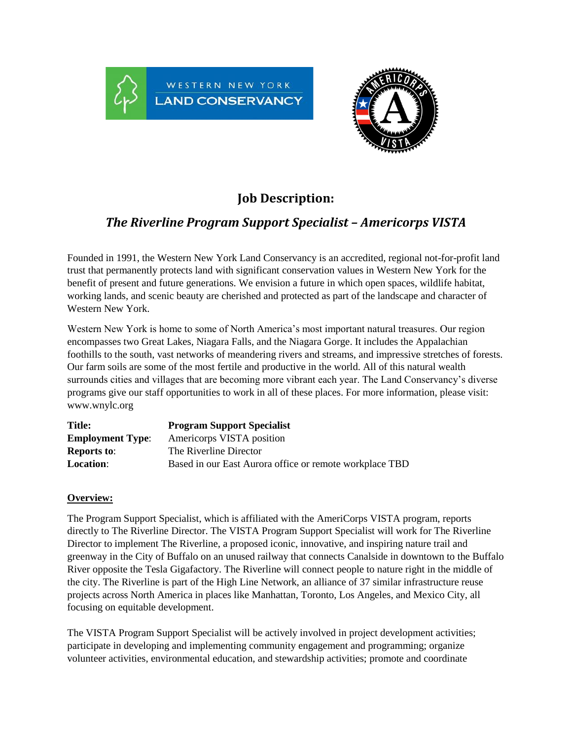



# **Job Description:**

## *The Riverline Program Support Specialist – Americorps VISTA*

Founded in 1991, the Western New York Land Conservancy is an accredited, regional not-for-profit land trust that permanently protects land with significant conservation values in Western New York for the benefit of present and future generations. We envision a future in which open spaces, wildlife habitat, working lands, and scenic beauty are cherished and protected as part of the landscape and character of Western New York.

Western New York is home to some of North America's most important natural treasures. Our region encompasses two Great Lakes, Niagara Falls, and the Niagara Gorge. It includes the Appalachian foothills to the south, vast networks of meandering rivers and streams, and impressive stretches of forests. Our farm soils are some of the most fertile and productive in the world. All of this natural wealth surrounds cities and villages that are becoming more vibrant each year. The Land Conservancy's diverse programs give our staff opportunities to work in all of these places. For more information, please visit: www.wnylc.org

| <b>Title:</b>           | <b>Program Support Specialist</b>                       |
|-------------------------|---------------------------------------------------------|
| <b>Employment Type:</b> | Americorps VISTA position                               |
| <b>Reports to:</b>      | The Riverline Director                                  |
| <b>Location:</b>        | Based in our East Aurora office or remote workplace TBD |

### **Overview:**

The Program Support Specialist, which is affiliated with the AmeriCorps VISTA program, reports directly to The Riverline Director. The VISTA Program Support Specialist will work for The Riverline Director to implement The Riverline, a proposed iconic, innovative, and inspiring nature trail and greenway in the City of Buffalo on an unused railway that connects Canalside in downtown to the Buffalo River opposite the Tesla Gigafactory. The Riverline will connect people to nature right in the middle of the city. The Riverline is part of the High Line Network, an alliance of 37 similar infrastructure reuse projects across North America in places like Manhattan, Toronto, Los Angeles, and Mexico City, all focusing on equitable development.

The VISTA Program Support Specialist will be actively involved in project development activities; participate in developing and implementing community engagement and programming; organize volunteer activities, environmental education, and stewardship activities; promote and coordinate